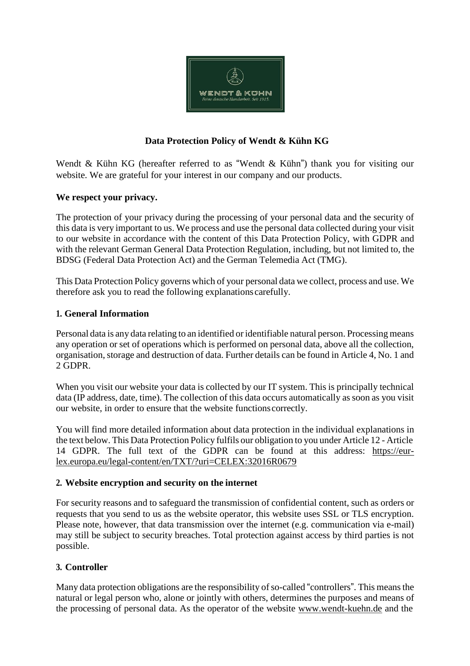

# **Data Protection Policy of Wendt & Kühn KG**

Wendt & Kühn KG (hereafter referred to as "Wendt & Kühn") thank you for visiting our website. We are grateful for your interest in our company and our products.

### **We respect your privacy.**

The protection of your privacy during the processing of your personal data and the security of this data is very important to us. We process and use the personal data collected during your visit to our website in accordance with the content of this Data Protection Policy, with GDPR and with the relevant German General Data Protection Regulation, including, but not limited to, the BDSG (Federal Data Protection Act) and the German Telemedia Act (TMG).

This Data Protection Policy governs which of your personal data we collect, process and use. We therefore ask you to read the following explanations carefully.

#### **1. General Information**

Personal data is any data relating to an identified or identifiable natural person. Processing means any operation or set of operations which is performed on personal data, above all the collection, organisation, storage and destruction of data. Further details can be found in Article 4, No. 1 and 2 GDPR.

When you visit our website your data is collected by our IT system. This is principally technical data (IP address, date, time). The collection of this data occurs automatically as soon as you visit our website, in order to ensure that the website functionscorrectly.

You will find more detailed information about data protection in the individual explanations in the text below. This Data Protection Policy fulfils our obligation to you under Article 12 - Article 14 GDPR. The full text of the GDPR can be found at this address: [https://eur](http://eur-lex.europa.eu/legal-content/DE/TXT/HTML/?uri=CELEX%3A32016R0679&from=DE)[lex.europa.eu/legal-content/en/TXT/?uri=CELEX:32016R0679](http://eur-lex.europa.eu/legal-content/DE/TXT/HTML/?uri=CELEX%3A32016R0679&from=DE)

#### **2. Website encryption and security on the internet**

For security reasons and to safeguard the transmission of confidential content, such as orders or requests that you send to us as the website operator, this website uses SSL or TLS encryption. Please note, however, that data transmission over the internet (e.g. communication via e-mail) may still be subject to security breaches. Total protection against access by third parties is not possible.

## **3. Controller**

Many data protection obligations are the responsibility of so-called "controllers". This means the natural or legal person who, alone or jointly with others, determines the purposes and means of the processing of personal data. As the operator of the website [www.wendt-kuehn.de](http://www.wendt-kuehn.de/) and the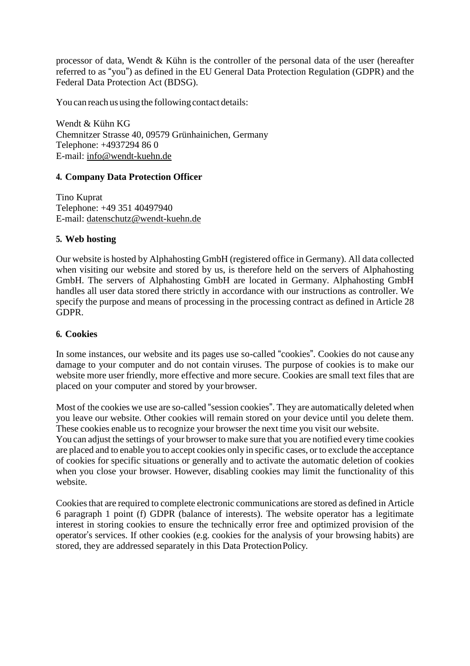processor of data, Wendt & Kühn is the controller of the personal data of the user (hereafter referred to as "you") as defined in the EU General Data Protection Regulation (GDPR) and the Federal Data Protection Act (BDSG).

You can reach us using the following contact details:

Wendt & Kühn KG Chemnitzer Strasse 40, 09579 Grünhainichen, Germany Telephone: +4937294 86 0 E-mail: [info@wendt-kuehn.de](mailto:info@wendt-kuehn.de)

### **4. Company Data Protection Officer**

Tino Kuprat Telephone: +49 351 40497940 E-mail: [datenschutz@wendt-kuehn.de](mailto:datenschutz@wendt-kuehn.de)

### **5. Web hosting**

Our website is hosted by Alphahosting GmbH (registered office in Germany). All data collected when visiting our website and stored by us, is therefore held on the servers of Alphahosting GmbH. The servers of Alphahosting GmbH are located in Germany. Alphahosting GmbH handles all user data stored there strictly in accordance with our instructions as controller. We specify the purpose and means of processing in the processing contract as defined in Article 28 GDPR.

#### **6. Cookies**

In some instances, our website and its pages use so-called "cookies". Cookies do not cause any damage to your computer and do not contain viruses. The purpose of cookies is to make our website more user friendly, more effective and more secure. Cookies are small text files that are placed on your computer and stored by your browser.

Most of the cookies we use are so-called "session cookies". They are automatically deleted when you leave our website. Other cookies will remain stored on your device until you delete them. These cookies enable us to recognize your browser the next time you visit our website.

You can adjust the settings of your browser to make sure that you are notified every time cookies are placed and to enable you to accept cookies only in specific cases, or to exclude the acceptance of cookies for specific situations or generally and to activate the automatic deletion of cookies when you close your browser. However, disabling cookies may limit the functionality of this website.

Cookiesthat are required to complete electronic communications are stored as defined in Article 6 paragraph 1 point (f) GDPR (balance of interests). The website operator has a legitimate interest in storing cookies to ensure the technically error free and optimized provision of the operator's services. If other cookies (e.g. cookies for the analysis of your browsing habits) are stored, they are addressed separately in this Data ProtectionPolicy.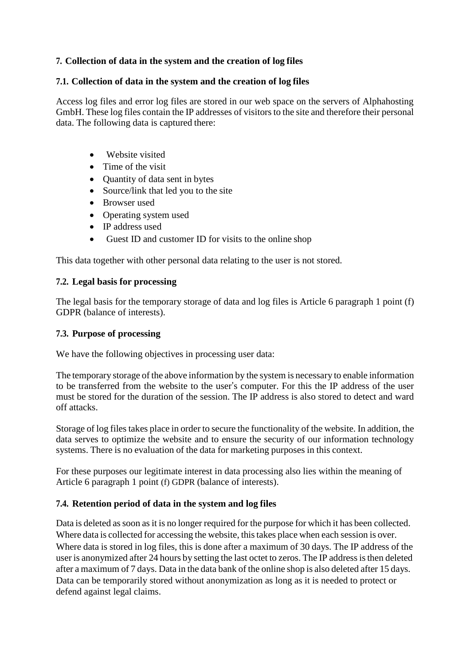# **7. Collection of data in the system and the creation of log files**

### **7.1. Collection of data in the system and the creation of log files**

Access log files and error log files are stored in our web space on the servers of Alphahosting GmbH. These log files contain the IP addresses of visitors to the site and therefore their personal data. The following data is captured there:

- Website visited
- Time of the visit
- Quantity of data sent in bytes
- Source/link that led you to the site
- Browser used
- Operating system used
- IP address used
- Guest ID and customer ID for visits to the online shop

This data together with other personal data relating to the user is not stored.

## **7.2. Legal basis for processing**

The legal basis for the temporary storage of data and log files is Article 6 paragraph 1 point (f) GDPR (balance of interests).

### **7.3. Purpose of processing**

We have the following objectives in processing user data:

The temporary storage of the above information by the system is necessary to enable information to be transferred from the website to the user's computer. For this the IP address of the user must be stored for the duration of the session. The IP address is also stored to detect and ward off attacks.

Storage of log files takes place in order to secure the functionality of the website. In addition, the data serves to optimize the website and to ensure the security of our information technology systems. There is no evaluation of the data for marketing purposes in this context.

For these purposes our legitimate interest in data processing also lies within the meaning of Article 6 paragraph 1 point (f) GDPR (balance of interests).

## **7.4. Retention period of data in the system and log files**

Data is deleted as soon as it is no longer required for the purpose for which it has been collected. Where data is collected for accessing the website, this takes place when each session is over. Where data is stored in log files, this is done after a maximum of 30 days. The IP address of the user is anonymized after 24 hours by setting the last octet to zeros. The IP address is then deleted after a maximum of 7 days. Data in the data bank of the online shop is also deleted after 15 days. Data can be temporarily stored without anonymization as long as it is needed to protect or defend against legal claims.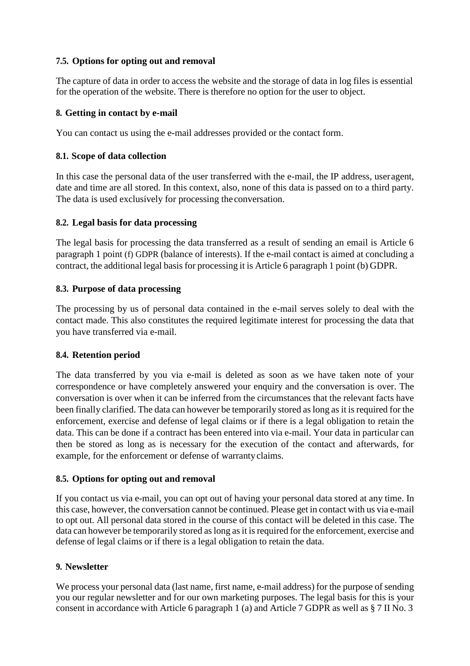# **7.5. Options for opting out and removal**

The capture of data in order to access the website and the storage of data in log files is essential for the operation of the website. There is therefore no option for the user to object.

# **8. Getting in contact by e-mail**

You can contact us using the e-mail addresses provided or the contact form.

# **8.1. Scope of data collection**

In this case the personal data of the user transferred with the e-mail, the IP address, useragent, date and time are all stored. In this context, also, none of this data is passed on to a third party. The data is used exclusively for processing the conversation.

# **8.2. Legal basis for data processing**

The legal basis for processing the data transferred as a result of sending an email is Article 6 paragraph 1 point (f) GDPR (balance of interests). If the e-mail contact is aimed at concluding a contract, the additional legal basis for processing it is Article 6 paragraph 1 point (b) GDPR.

# **8.3. Purpose of data processing**

The processing by us of personal data contained in the e-mail serves solely to deal with the contact made. This also constitutes the required legitimate interest for processing the data that you have transferred via e-mail.

# **8.4. Retention period**

The data transferred by you via e-mail is deleted as soon as we have taken note of your correspondence or have completely answered your enquiry and the conversation is over. The conversation is over when it can be inferred from the circumstances that the relevant facts have been finally clarified. The data can however be temporarily stored as long as it is required for the enforcement, exercise and defense of legal claims or if there is a legal obligation to retain the data. This can be done if a contract has been entered into via e-mail. Your data in particular can then be stored as long as is necessary for the execution of the contact and afterwards, for example, for the enforcement or defense of warrantyclaims.

## **8.5. Options for opting out and removal**

If you contact us via e-mail, you can opt out of having your personal data stored at any time. In this case, however, the conversation cannot be continued. Please get in contact with us via e-mail to opt out. All personal data stored in the course of this contact will be deleted in this case. The data can however be temporarily stored as long as it is required for the enforcement, exercise and defense of legal claims or if there is a legal obligation to retain the data.

## **9. Newsletter**

We process your personal data (last name, first name, e-mail address) for the purpose of sending you our regular newsletter and for our own marketing purposes. The legal basis for this is your consent in accordance with Article 6 paragraph 1 (a) and Article 7 GDPR as well as § 7 II No. 3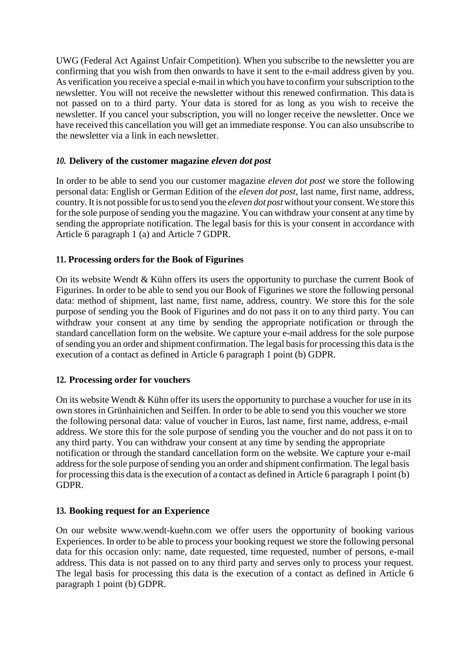UWG (Federal Act Against Unfair Competition). When you subscribe to the newsletter you are confirming that you wish from then onwards to have it sent to the e-mail address given by you. As verification you receive a special e-mail in which you have to confirm yoursubscription to the newsletter. You will not receive the newsletter without this renewed confirmation. This data is not passed on to a third party. Your data is stored for as long as you wish to receive the newsletter. If you cancel your subscription, you will no longer receive the newsletter. Once we have received this cancellation you will get an immediate response. You can also unsubscribe to the newsletter via a link in each newsletter.

### *10.* **Delivery of the customer magazine** *eleven dot post*

In order to be able to send you our customer magazine *eleven dot post* we store the following personal data: English or German Edition of the *eleven dot post,* last name, first name, address, country.It is not possible for usto send you the *eleven dot post* without your consent.We store this for the sole purpose of sending you the magazine. You can withdraw your consent at any time by sending the appropriate notification. The legal basis for this is your consent in accordance with Article 6 paragraph 1 (a) and Article 7 GDPR.

### **11. Processing orders for the Book of Figurines**

On its website Wendt & Kühn offers its users the opportunity to purchase the current Book of Figurines. In order to be able to send you our Book of Figurines we store the following personal data: method of shipment, last name, first name, address, country. We store this for the sole purpose of sending you the Book of Figurines and do not pass it on to any third party. You can withdraw your consent at any time by sending the appropriate notification or through the standard cancellation form on the website. We capture your e-mail address for the sole purpose of sending you an order and shipment confirmation. The legal basis for processing this data is the execution of a contact as defined in Article 6 paragraph 1 point (b) GDPR.

#### **12. Processing order for vouchers**

On its website Wendt  $&$  Kühn offer its users the opportunity to purchase a voucher for use in its own stores in Grünhainichen and Seiffen. In order to be able to send you this voucher we store the following personal data: value of voucher in Euros, last name, first name, address, e-mail address. We store this for the sole purpose of sending you the voucher and do not pass it on to any third party. You can withdraw your consent at any time by sending the appropriate notification or through the standard cancellation form on the website. We capture your e-mail address for the sole purpose of sending you an order and shipment confirmation. The legal basis for processing this data isthe execution of a contact as defined in Article 6 paragraph 1 point (b) GDPR.

#### **13. Booking request for an Experience**

On our website www.wendt-kuehn.com we offer users the opportunity of booking various Experiences. In order to be able to process your booking request we store the following personal data for this occasion only: name, date requested, time requested, number of persons, e-mail address. This data is not passed on to any third party and serves only to process your request. The legal basis for processing this data is the execution of a contact as defined in Article 6 paragraph 1 point (b) GDPR.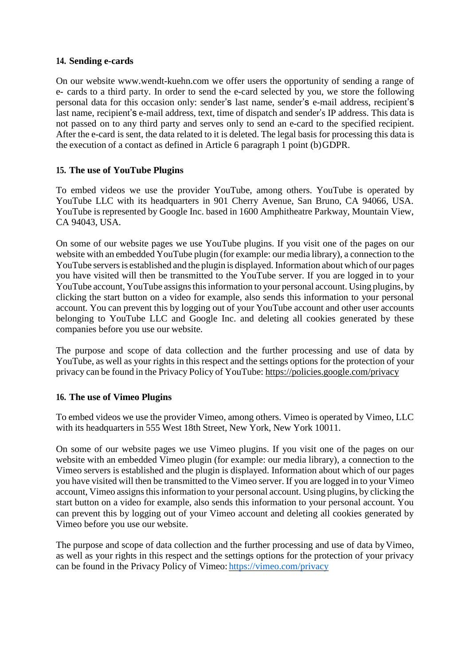### **14. Sending e-cards**

On our website www.wendt-kuehn.com we offer users the opportunity of sending a range of e- cards to a third party. In order to send the e-card selected by you, we store the following personal data for this occasion only: sender's last name, sender's e-mail address, recipient's last name, recipient's e-mail address, text, time of dispatch and sender's IP address. This data is not passed on to any third party and serves only to send an e-card to the specified recipient. After the e-card is sent, the data related to it is deleted. The legal basis for processing this data is the execution of a contact as defined in Article 6 paragraph 1 point (b)GDPR.

### **15. The use of YouTube Plugins**

To embed videos we use the provider YouTube, among others. YouTube is operated by YouTube LLC with its headquarters in 901 Cherry Avenue, San Bruno, CA 94066, USA. YouTube is represented by Google Inc. based in 1600 Amphitheatre Parkway, Mountain View, CA 94043, USA.

On some of our website pages we use YouTube plugins. If you visit one of the pages on our website with an embedded YouTube plugin (for example: our media library), a connection to the YouTube servers is established and the plugin is displayed. Information about which of our pages you have visited will then be transmitted to the YouTube server. If you are logged in to your YouTube account, YouTube assigns this information to your personal account. Using plugins, by clicking the start button on a video for example, also sends this information to your personal account. You can prevent this by logging out of your YouTube account and other user accounts belonging to YouTube LLC and Google Inc. and deleting all cookies generated by these companies before you use our website.

The purpose and scope of data collection and the further processing and use of data by YouTube, as well as your rights in this respect and the settings options for the protection of your privacy can be found in the Privacy Policy of YouTube: [https://policies.google.com/privacy](http://www.google.de/intl/de/policies/privacy/)

#### **16. The use of Vimeo Plugins**

To embed videos we use the provider Vimeo, among others. Vimeo is operated by Vimeo, LLC with its headquarters in 555 West 18th Street, New York, New York 10011.

On some of our website pages we use Vimeo plugins. If you visit one of the pages on our website with an embedded Vimeo plugin (for example: our media library), a connection to the Vimeo servers is established and the plugin is displayed. Information about which of our pages you have visited will then be transmitted to the Vimeo server. If you are logged in to your Vimeo account, Vimeo assigns this information to your personal account. Using plugins, by clicking the start button on a video for example, also sends this information to your personal account. You can prevent this by logging out of your Vimeo account and deleting all cookies generated by Vimeo before you use our website.

The purpose and scope of data collection and the further processing and use of data byVimeo, as well as your rights in this respect and the settings options for the protection of your privacy can be found in the Privacy Policy of Vimeo: <https://vimeo.com/privacy>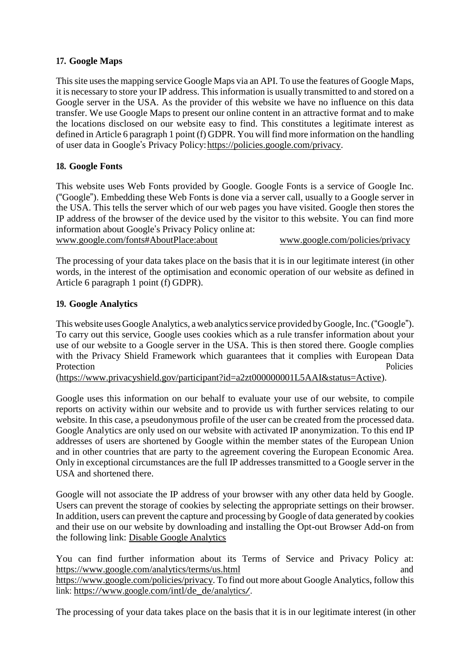# **17. Google Maps**

This site uses the mapping service Google Maps via an API. To use the features of Google Maps, it is necessary to store your IP address. This information is usually transmitted to and stored on a Google server in the USA. As the provider of this website we have no influence on this data transfer. We use Google Maps to present our online content in an attractive format and to make the locations disclosed on our website easy to find. This constitutes a legitimate interest as defined in Article 6 paragraph 1 point (f) GDPR. You will find more information on the handling of user data in Google's Privacy Policy[:https://policies.google.com/privacy.](https://www.google.de/intl/de/policies/privacy/)

# **18. Google Fonts**

This website uses Web Fonts provided by Google. Google Fonts is a service of Google Inc. ("Google"). Embedding these Web Fonts is done via a server call, usually to a Google server in the USA. This tells the server which of our web pages you have visited. Google then stores the IP address of the browser of the device used by the visitor to this website. You can find more information about Google's Privacy Policy online at: [www.google.com/fonts#AboutPlace:about](http://www.google.com/fonts#AboutPlace%3Aabout) [www.google.com/policies/privacy](http://www.google.com/policies/privacy/)

The processing of your data takes place on the basis that it is in our legitimate interest (in other words, in the interest of the optimisation and economic operation of our website as defined in Article 6 paragraph 1 point (f) GDPR).

## **19. Google Analytics**

This website uses Google Analytics, a web analytics service provided by Google, Inc. ("Google"). To carry out this service, Google uses cookies which as a rule transfer information about your use of our website to a Google server in the USA. This is then stored there. Google complies with the Privacy Shield Framework which guarantees that it complies with European Data Protection Policies

[\(https://www.privacyshield.gov/participant?id=a2zt000000001L5AAI&status=Active\)](https://www.privacyshield.gov/participant?id=a2zt000000001L5AAI&status=Active).

Google uses this information on our behalf to evaluate your use of our website, to compile reports on activity within our website and to provide us with further services relating to our website. In this case, a pseudonymous profile of the user can be created from the processed data. Google Analytics are only used on our website with activated IP anonymization. To this end IP addresses of users are shortened by Google within the member states of the European Union and in other countries that are party to the agreement covering the European Economic Area. Only in exceptional circumstances are the full IP addresses transmitted to a Google server in the USA and shortened there.

Google will not associate the IP address of your browser with any other data held by Google. Users can prevent the storage of cookies by selecting the appropriate settings on their browser. In addition, users can prevent the capture and processing by Google of data generated by cookies and their use on our website by downloading and installing the Opt-out Browser Add-on from the following link: [Disable Google](http://tools.google.com/dlpage/gaoptout?hl=de) Analytics

You can find further information about its Terms of Service and Privacy Policy at: [https://www.google.com/analytics/terms/us.html](http://www.google.com/analytics/terms/de.html) and [https://www.google.com/policies/privacy.](https://www.google.de/intl/de/policies/privacy/) To find out more about Google Analytics, follow this link: [https://www.google.com/intl/de\\_de/analytics/.](https://www.google.com/intl/de_de/analytics/)

The processing of your data takes place on the basis that it is in our legitimate interest (in other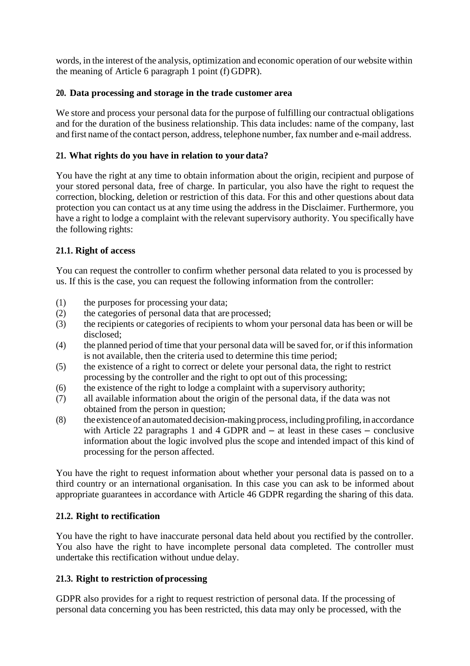words, in the interest of the analysis, optimization and economic operation of our website within the meaning of Article 6 paragraph 1 point (f) GDPR).

# **20. Data processing and storage in the trade customer area**

We store and process your personal data for the purpose of fulfilling our contractual obligations and for the duration of the business relationship. This data includes: name of the company, last and first name of the contact person, address, telephone number, fax number and e-mail address.

# **21. What rights do you have in relation to your data?**

You have the right at any time to obtain information about the origin, recipient and purpose of your stored personal data, free of charge. In particular, you also have the right to request the correction, blocking, deletion or restriction of this data. For this and other questions about data protection you can contact us at any time using the address in the Disclaimer. Furthermore, you have a right to lodge a complaint with the relevant supervisory authority. You specifically have the following rights:

# **21.1. Right of access**

You can request the controller to confirm whether personal data related to you is processed by us. If this is the case, you can request the following information from the controller:

- (1) the purposes for processing your data;
- (2) the categories of personal data that are processed;
- (3) the recipients or categories of recipients to whom your personal data has been or will be disclosed;
- (4) the planned period of time that your personal data will be saved for, or if thisinformation is not available, then the criteria used to determine this time period;
- (5) the existence of a right to correct or delete your personal data, the right to restrict processing by the controller and the right to opt out of this processing;
- (6) the existence of the right to lodge a complaint with a supervisory authority;
- (7) all available information about the origin of the personal data, if the data was not obtained from the person in question;
- (8) the existence of anautomated decision-makingprocess,includingprofiling,in accordance with Article 22 paragraphs 1 and 4 GDPR and – at least in these cases – conclusive information about the logic involved plus the scope and intended impact of this kind of processing for the person affected.

You have the right to request information about whether your personal data is passed on to a third country or an international organisation. In this case you can ask to be informed about appropriate guarantees in accordance with Article 46 GDPR regarding the sharing of this data.

# **21.2. Right to rectification**

You have the right to have inaccurate personal data held about you rectified by the controller. You also have the right to have incomplete personal data completed. The controller must undertake this rectification without undue delay.

## **21.3. Right to restriction ofprocessing**

GDPR also provides for a right to request restriction of personal data. If the processing of personal data concerning you has been restricted, this data may only be processed, with the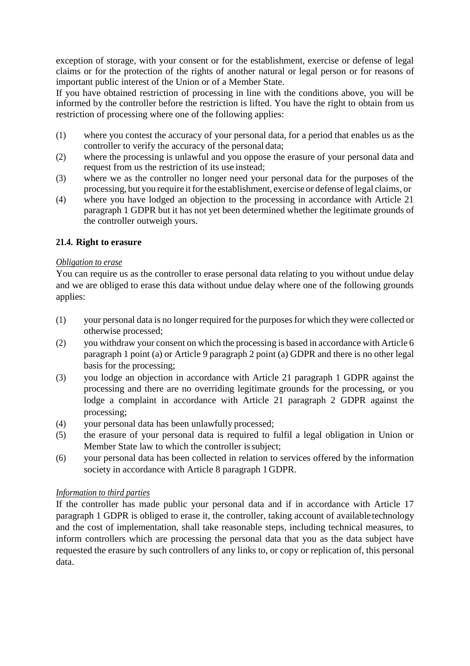exception of storage, with your consent or for the establishment, exercise or defense of legal claims or for the protection of the rights of another natural or legal person or for reasons of important public interest of the Union or of a Member State.

If you have obtained restriction of processing in line with the conditions above, you will be informed by the controller before the restriction is lifted. You have the right to obtain from us restriction of processing where one of the following applies:

- (1) where you contest the accuracy of your personal data, for a period that enables us as the controller to verify the accuracy of the personal data;
- (2) where the processing is unlawful and you oppose the erasure of your personal data and request from us the restriction of its use instead;
- (3) where we as the controller no longer need your personal data for the purposes of the processing, but you require it for the establishment, exercise or defense of legal claims, or
- (4) where you have lodged an objection to the processing in accordance with Article 21 paragraph 1 GDPR but it has not yet been determined whether the legitimate grounds of the controller outweigh yours.

## **21.4. Right to erasure**

#### *Obligation to erase*

You can require us as the controller to erase personal data relating to you without undue delay and we are obliged to erase this data without undue delay where one of the following grounds applies:

- (1) your personal data is no longer required for the purposesfor which they were collected or otherwise processed;
- (2) you withdraw your consent on which the processing is based in accordance with Article 6 paragraph 1 point (a) or Article 9 paragraph 2 point (a) GDPR and there is no other legal basis for the processing;
- (3) you lodge an objection in accordance with Article 21 paragraph 1 GDPR against the processing and there are no overriding legitimate grounds for the processing, or you lodge a complaint in accordance with Article 21 paragraph 2 GDPR against the processing;
- (4) your personal data has been unlawfully processed;
- (5) the erasure of your personal data is required to fulfil a legal obligation in Union or Member State law to which the controller is subject;
- (6) your personal data has been collected in relation to services offered by the information society in accordance with Article 8 paragraph 1GDPR.

## *Information to third parties*

If the controller has made public your personal data and if in accordance with Article 17 paragraph 1 GDPR is obliged to erase it, the controller, taking account of available technology and the cost of implementation, shall take reasonable steps, including technical measures, to inform controllers which are processing the personal data that you as the data subject have requested the erasure by such controllers of any links to, or copy or replication of, this personal data.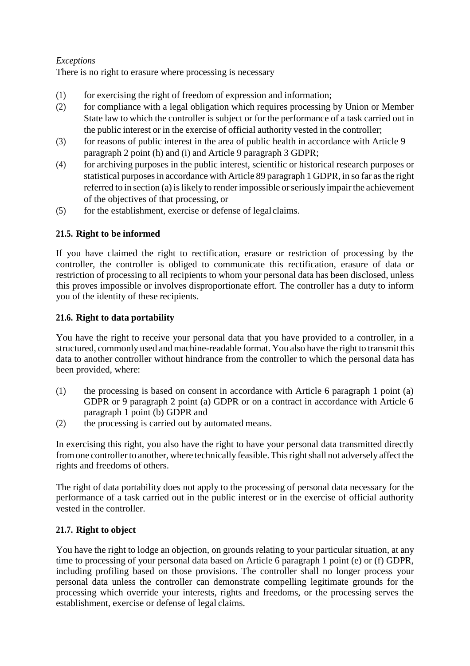## *Exceptions*

There is no right to erasure where processing is necessary

- (1) for exercising the right of freedom of expression and information;
- (2) for compliance with a legal obligation which requires processing by Union or Member State law to which the controller is subject or for the performance of a task carried out in the public interest or in the exercise of official authority vested in the controller;
- (3) for reasons of public interest in the area of public health in accordance with Article 9 paragraph 2 point (h) and (i) and Article 9 paragraph 3 GDPR;
- (4) for archiving purposes in the public interest, scientific or historical research purposes or statistical purposesin accordance with Article 89 paragraph 1 GDPR, in so far asthe right referred to in section (a) is likely to render impossible or seriously impair the achievement of the objectives of that processing, or
- (5) for the establishment, exercise or defense of legal claims.

# **21.5. Right to be informed**

If you have claimed the right to rectification, erasure or restriction of processing by the controller, the controller is obliged to communicate this rectification, erasure of data or restriction of processing to all recipients to whom your personal data has been disclosed, unless this proves impossible or involves disproportionate effort. The controller has a duty to inform you of the identity of these recipients.

## **21.6. Right to data portability**

You have the right to receive your personal data that you have provided to a controller, in a structured, commonly used and machine-readable format. You also have the right to transmit this data to another controller without hindrance from the controller to which the personal data has been provided, where:

- (1) the processing is based on consent in accordance with Article 6 paragraph 1 point (a) GDPR or 9 paragraph 2 point (a) GDPR or on a contract in accordance with Article 6 paragraph 1 point (b) GDPR and
- (2) the processing is carried out by automated means.

In exercising this right, you also have the right to have your personal data transmitted directly from one controller to another, where technically feasible. This right shall not adversely affect the rights and freedoms of others.

The right of data portability does not apply to the processing of personal data necessary for the performance of a task carried out in the public interest or in the exercise of official authority vested in the controller.

## **21.7. Right to object**

You have the right to lodge an objection, on grounds relating to your particular situation, at any time to processing of your personal data based on Article 6 paragraph 1 point (e) or (f) GDPR, including profiling based on those provisions. The controller shall no longer process your personal data unless the controller can demonstrate compelling legitimate grounds for the processing which override your interests, rights and freedoms, or the processing serves the establishment, exercise or defense of legal claims.